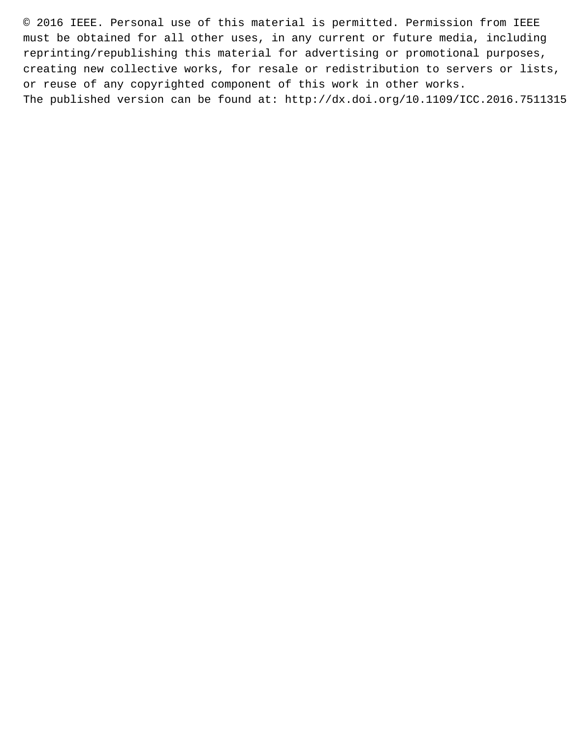© 2016 IEEE. Personal use of this material is permitted. Permission from IEEE must be obtained for all other uses, in any current or future media, including reprinting/republishing this material for advertising or promotional purposes, creating new collective works, for resale or redistribution to servers or lists, or reuse of any copyrighted component of this work in other works. The published version can be found at: http://dx.doi.org/10.1109/ICC.2016.7511315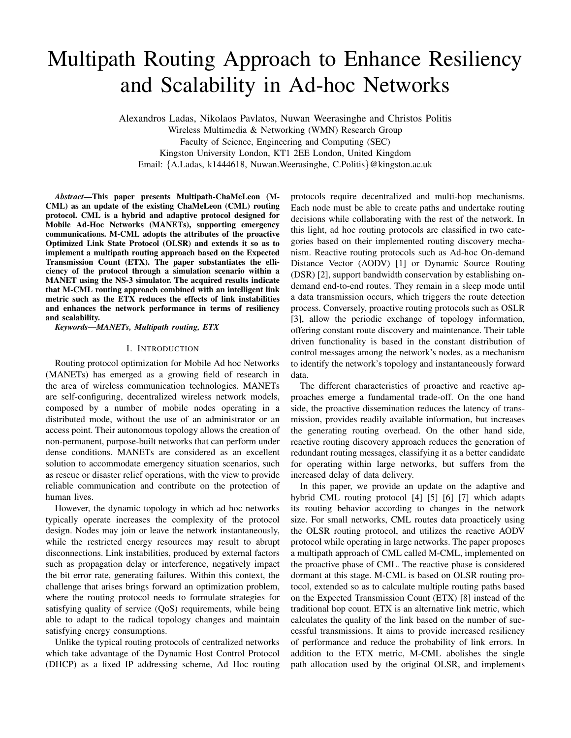# Multipath Routing Approach to Enhance Resiliency and Scalability in Ad-hoc Networks

Alexandros Ladas, Nikolaos Pavlatos, Nuwan Weerasinghe and Christos Politis Wireless Multimedia & Networking (WMN) Research Group Faculty of Science, Engineering and Computing (SEC) Kingston University London, KT1 2EE London, United Kingdom Email: {A.Ladas, k1444618, Nuwan.Weerasinghe, C.Politis}@kingston.ac.uk

*Abstract*—This paper presents Multipath-ChaMeLeon (M-CML) as an update of the existing ChaMeLeon (CML) routing protocol. CML is a hybrid and adaptive protocol designed for Mobile Ad-Hoc Networks (MANETs), supporting emergency communications. M-CML adopts the attributes of the proactive Optimized Link State Protocol (OLSR) and extends it so as to implement a multipath routing approach based on the Expected Transmission Count (ETX). The paper substantiates the efficiency of the protocol through a simulation scenario within a MANET using the NS-3 simulator. The acquired results indicate that M-CML routing approach combined with an intelligent link metric such as the ETX reduces the effects of link instabilities and enhances the network performance in terms of resiliency and scalability.

*Keywords*—*MANETs, Multipath routing, ETX*

#### I. INTRODUCTION

Routing protocol optimization for Mobile Ad hoc Networks (MANETs) has emerged as a growing field of research in the area of wireless communication technologies. MANETs are self-configuring, decentralized wireless network models, composed by a number of mobile nodes operating in a distributed mode, without the use of an administrator or an access point. Their autonomous topology allows the creation of non-permanent, purpose-built networks that can perform under dense conditions. MANETs are considered as an excellent solution to accommodate emergency situation scenarios, such as rescue or disaster relief operations, with the view to provide reliable communication and contribute on the protection of human lives.

However, the dynamic topology in which ad hoc networks typically operate increases the complexity of the protocol design. Nodes may join or leave the network instantaneously, while the restricted energy resources may result to abrupt disconnections. Link instabilities, produced by external factors such as propagation delay or interference, negatively impact the bit error rate, generating failures. Within this context, the challenge that arises brings forward an optimization problem, where the routing protocol needs to formulate strategies for satisfying quality of service (QoS) requirements, while being able to adapt to the radical topology changes and maintain satisfying energy consumptions.

Unlike the typical routing protocols of centralized networks which take advantage of the Dynamic Host Control Protocol (DHCP) as a fixed IP addressing scheme, Ad Hoc routing protocols require decentralized and multi-hop mechanisms. Each node must be able to create paths and undertake routing decisions while collaborating with the rest of the network. In this light, ad hoc routing protocols are classified in two categories based on their implemented routing discovery mechanism. Reactive routing protocols such as Ad-hoc On-demand Distance Vector (AODV) [1] or Dynamic Source Routing (DSR) [2], support bandwidth conservation by establishing ondemand end-to-end routes. They remain in a sleep mode until a data transmission occurs, which triggers the route detection process. Conversely, proactive routing protocols such as OSLR [3], allow the periodic exchange of topology information, offering constant route discovery and maintenance. Their table driven functionality is based in the constant distribution of control messages among the network's nodes, as a mechanism to identify the network's topology and instantaneously forward data.

The different characteristics of proactive and reactive approaches emerge a fundamental trade-off. On the one hand side, the proactive dissemination reduces the latency of transmission, provides readily available information, but increases the generating routing overhead. On the other hand side, reactive routing discovery approach reduces the generation of redundant routing messages, classifying it as a better candidate for operating within large networks, but suffers from the increased delay of data delivery.

In this paper, we provide an update on the adaptive and hybrid CML routing protocol [4] [5] [6] [7] which adapts its routing behavior according to changes in the network size. For small networks, CML routes data proacticely using the OLSR routing protocol, and utilizes the reactive AODV protocol while operating in large networks. The paper proposes a multipath approach of CML called M-CML, implemented on the proactive phase of CML. The reactive phase is considered dormant at this stage. M-CML is based on OLSR routing protocol, extended so as to calculate multiple routing paths based on the Expected Transmission Count (ETX) [8] instead of the traditional hop count. ETX is an alternative link metric, which calculates the quality of the link based on the number of successful transmissions. It aims to provide increased resiliency of performance and reduce the probability of link errors. In addition to the ETX metric, M-CML abolishes the single path allocation used by the original OLSR, and implements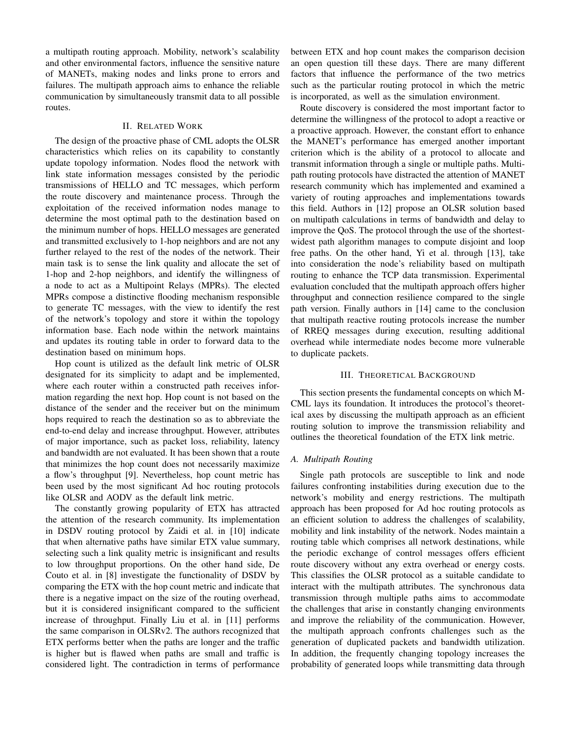a multipath routing approach. Mobility, network's scalability and other environmental factors, influence the sensitive nature of MANETs, making nodes and links prone to errors and failures. The multipath approach aims to enhance the reliable communication by simultaneously transmit data to all possible routes.

## II. RELATED WORK

The design of the proactive phase of CML adopts the OLSR characteristics which relies on its capability to constantly update topology information. Nodes flood the network with link state information messages consisted by the periodic transmissions of HELLO and TC messages, which perform the route discovery and maintenance process. Through the exploitation of the received information nodes manage to determine the most optimal path to the destination based on the minimum number of hops. HELLO messages are generated and transmitted exclusively to 1-hop neighbors and are not any further relayed to the rest of the nodes of the network. Their main task is to sense the link quality and allocate the set of 1-hop and 2-hop neighbors, and identify the willingness of a node to act as a Multipoint Relays (MPRs). The elected MPRs compose a distinctive flooding mechanism responsible to generate TC messages, with the view to identify the rest of the network's topology and store it within the topology information base. Each node within the network maintains and updates its routing table in order to forward data to the destination based on minimum hops.

Hop count is utilized as the default link metric of OLSR designated for its simplicity to adapt and be implemented, where each router within a constructed path receives information regarding the next hop. Hop count is not based on the distance of the sender and the receiver but on the minimum hops required to reach the destination so as to abbreviate the end-to-end delay and increase throughput. However, attributes of major importance, such as packet loss, reliability, latency and bandwidth are not evaluated. It has been shown that a route that minimizes the hop count does not necessarily maximize a flow's throughput [9]. Nevertheless, hop count metric has been used by the most significant Ad hoc routing protocols like OLSR and AODV as the default link metric.

The constantly growing popularity of ETX has attracted the attention of the research community. Its implementation in DSDV routing protocol by Zaidi et al. in [10] indicate that when alternative paths have similar ETX value summary, selecting such a link quality metric is insignificant and results to low throughput proportions. On the other hand side, De Couto et al. in [8] investigate the functionality of DSDV by comparing the ETX with the hop count metric and indicate that there is a negative impact on the size of the routing overhead, but it is considered insignificant compared to the sufficient increase of throughput. Finally Liu et al. in [11] performs the same comparison in OLSRv2. The authors recognized that ETX performs better when the paths are longer and the traffic is higher but is flawed when paths are small and traffic is considered light. The contradiction in terms of performance between ETX and hop count makes the comparison decision an open question till these days. There are many different factors that influence the performance of the two metrics such as the particular routing protocol in which the metric is incorporated, as well as the simulation environment.

Route discovery is considered the most important factor to determine the willingness of the protocol to adopt a reactive or a proactive approach. However, the constant effort to enhance the MANET's performance has emerged another important criterion which is the ability of a protocol to allocate and transmit information through a single or multiple paths. Multipath routing protocols have distracted the attention of MANET research community which has implemented and examined a variety of routing approaches and implementations towards this field. Authors in [12] propose an OLSR solution based on multipath calculations in terms of bandwidth and delay to improve the QoS. The protocol through the use of the shortestwidest path algorithm manages to compute disjoint and loop free paths. On the other hand, Yi et al. through [13], take into consideration the node's reliability based on multipath routing to enhance the TCP data transmission. Experimental evaluation concluded that the multipath approach offers higher throughput and connection resilience compared to the single path version. Finally authors in [14] came to the conclusion that multipath reactive routing protocols increase the number of RREQ messages during execution, resulting additional overhead while intermediate nodes become more vulnerable to duplicate packets.

#### III. THEORETICAL BACKGROUND

This section presents the fundamental concepts on which M-CML lays its foundation. It introduces the protocol's theoretical axes by discussing the multipath approach as an efficient routing solution to improve the transmission reliability and outlines the theoretical foundation of the ETX link metric.

#### *A. Multipath Routing*

Single path protocols are susceptible to link and node failures confronting instabilities during execution due to the network's mobility and energy restrictions. The multipath approach has been proposed for Ad hoc routing protocols as an efficient solution to address the challenges of scalability, mobility and link instability of the network. Nodes maintain a routing table which comprises all network destinations, while the periodic exchange of control messages offers efficient route discovery without any extra overhead or energy costs. This classifies the OLSR protocol as a suitable candidate to interact with the multipath attributes. The synchronous data transmission through multiple paths aims to accommodate the challenges that arise in constantly changing environments and improve the reliability of the communication. However, the multipath approach confronts challenges such as the generation of duplicated packets and bandwidth utilization. In addition, the frequently changing topology increases the probability of generated loops while transmitting data through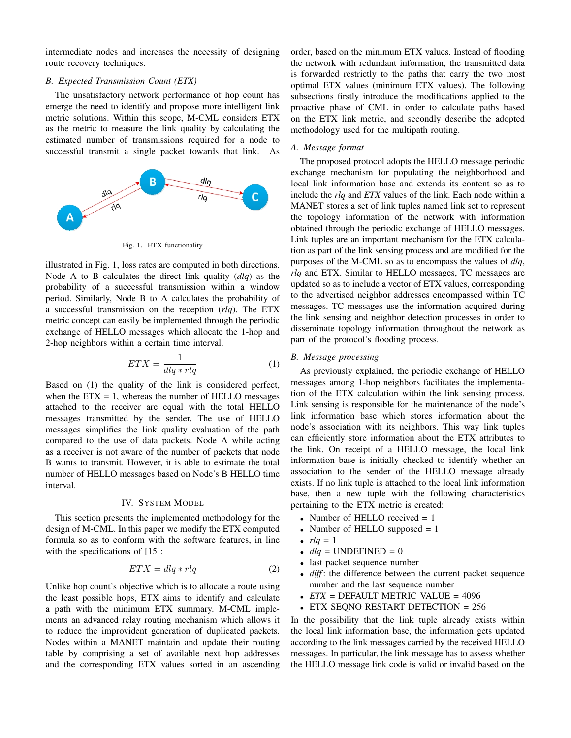intermediate nodes and increases the necessity of designing route recovery techniques.

## *B. Expected Transmission Count (ETX)*

The unsatisfactory network performance of hop count has emerge the need to identify and propose more intelligent link metric solutions. Within this scope, M-CML considers ETX as the metric to measure the link quality by calculating the estimated number of transmissions required for a node to successful transmit a single packet towards that link. As



Fig. 1. ETX functionality

illustrated in Fig. 1, loss rates are computed in both directions. Node A to B calculates the direct link quality (*dlq*) as the probability of a successful transmission within a window period. Similarly, Node B to A calculates the probability of a successful transmission on the reception (*rlq*). The ETX metric concept can easily be implemented through the periodic exchange of HELLO messages which allocate the 1-hop and 2-hop neighbors within a certain time interval.

$$
ETX = \frac{1}{dlq * rlq} \tag{1}
$$

Based on (1) the quality of the link is considered perfect, when the  $ETX = 1$ , whereas the number of HELLO messages attached to the receiver are equal with the total HELLO messages transmitted by the sender. The use of HELLO messages simplifies the link quality evaluation of the path compared to the use of data packets. Node A while acting as a receiver is not aware of the number of packets that node B wants to transmit. However, it is able to estimate the total number of HELLO messages based on Node's B HELLO time interval.

## IV. SYSTEM MODEL

This section presents the implemented methodology for the design of M-CML. In this paper we modify the ETX computed formula so as to conform with the software features, in line with the specifications of [15]:

$$
ETX = dlq * rlq \tag{2}
$$

Unlike hop count's objective which is to allocate a route using the least possible hops, ETX aims to identify and calculate a path with the minimum ETX summary. M-CML implements an advanced relay routing mechanism which allows it to reduce the improvident generation of duplicated packets. Nodes within a MANET maintain and update their routing table by comprising a set of available next hop addresses and the corresponding ETX values sorted in an ascending

order, based on the minimum ETX values. Instead of flooding the network with redundant information, the transmitted data is forwarded restrictly to the paths that carry the two most optimal ETX values (minimum ETX values). The following subsections firstly introduce the modifications applied to the proactive phase of CML in order to calculate paths based on the ETX link metric, and secondly describe the adopted methodology used for the multipath routing.

## *A. Message format*

The proposed protocol adopts the HELLO message periodic exchange mechanism for populating the neighborhood and local link information base and extends its content so as to include the *rlq* and *ETX* values of the link. Each node within a MANET stores a set of link tuples named link set to represent the topology information of the network with information obtained through the periodic exchange of HELLO messages. Link tuples are an important mechanism for the ETX calculation as part of the link sensing process and are modified for the purposes of the M-CML so as to encompass the values of *dlq*, *rlq* and ETX. Similar to HELLO messages, TC messages are updated so as to include a vector of ETX values, corresponding to the advertised neighbor addresses encompassed within TC messages. TC messages use the information acquired during the link sensing and neighbor detection processes in order to disseminate topology information throughout the network as part of the protocol's flooding process.

### *B. Message processing*

As previously explained, the periodic exchange of HELLO messages among 1-hop neighbors facilitates the implementation of the ETX calculation within the link sensing process. Link sensing is responsible for the maintenance of the node's link information base which stores information about the node's association with its neighbors. This way link tuples can efficiently store information about the ETX attributes to the link. On receipt of a HELLO message, the local link information base is initially checked to identify whether an association to the sender of the HELLO message already exists. If no link tuple is attached to the local link information base, then a new tuple with the following characteristics pertaining to the ETX metric is created:

- Number of HELLO received  $= 1$
- Number of HELLO supposed  $= 1$
- $rlq = 1$
- $dIq = \text{UNDEFINED} = 0$
- last packet sequence number
- *diff* : the difference between the current packet sequence number and the last sequence number
- *ETX* = DEFAULT METRIC VALUE = 4096
- ETX SEQNO RESTART DETECTION = 256

In the possibility that the link tuple already exists within the local link information base, the information gets updated according to the link messages carried by the received HELLO messages. In particular, the link message has to assess whether the HELLO message link code is valid or invalid based on the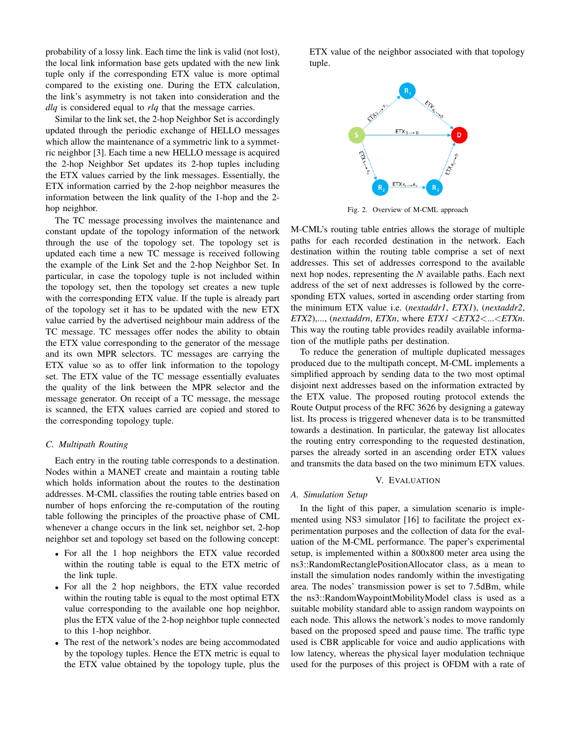probability of a lossy link. Each time the link is valid (not lost), the local link information base gets updated with the new link tuple only if the corresponding ETX value is more optimal compared to the existing one. During the ETX calculation, the link's asymmetry is not taken into consideration and the *dlq* is considered equal to *rlq* that the message carries.

Similar to the link set, the 2-hop Neighbor Set is accordingly updated through the periodic exchange of HELLO messages which allow the maintenance of a symmetric link to a symmetric neighbor [3]. Each time a new HELLO message is acquired the 2-hop Neighbor Set updates its 2-hop tuples including the ETX values carried by the link messages. Essentially, the ETX information carried by the 2-hop neighbor measures the information between the link quality of the 1-hop and the 2 hop neighbor.

The TC message processing involves the maintenance and constant update of the topology information of the network through the use of the topology set. The topology set is updated each time a new TC message is received following the example of the Link Set and the 2-hop Neighbor Set. In particular, in case the topology tuple is not included within the topology set, then the topology set creates a new tuple with the corresponding ETX value. If the tuple is already part of the topology set it has to be updated with the new ETX value carried by the advertised neighbour main address of the TC message. TC messages offer nodes the ability to obtain the ETX value corresponding to the generator of the message and its own MPR selectors. TC messages are carrying the ETX value so as to offer link information to the topology set. The ETX value of the TC message essentially evaluates the quality of the link between the MPR selector and the message generator. On receipt of a TC message, the message is scanned, the ETX values carried are copied and stored to the corresponding topology tuple.

### *C. Multipath Routing*

Each entry in the routing table corresponds to a destination. Nodes within a MANET create and maintain a routing table which holds information about the routes to the destination addresses. M-CML classifies the routing table entries based on number of hops enforcing the re-computation of the routing table following the principles of the proactive phase of CML whenever a change occurs in the link set, neighbor set, 2-hop neighbor set and topology set based on the following concept:

- For all the 1 hop neighbors the ETX value recorded within the routing table is equal to the ETX metric of the link tuple.
- For all the 2 hop neighbors, the ETX value recorded within the routing table is equal to the most optimal ETX value corresponding to the available one hop neighbor, plus the ETX value of the 2-hop neighbor tuple connected to this 1-hop neighbor.
- The rest of the network's nodes are being accommodated by the topology tuples. Hence the ETX metric is equal to the ETX value obtained by the topology tuple, plus the

ETX value of the neighbor associated with that topology tuple.



Fig. 2. Overview of M-CML approach

M-CML's routing table entries allows the storage of multiple paths for each recorded destination in the network. Each destination within the routing table comprise a set of next addresses. This set of addresses correspond to the available next hop nodes, representing the *N* available paths. Each next address of the set of next addresses is followed by the corresponding ETX values, sorted in ascending order starting from the minimum ETX value i.e. (*nextaddr1*, *ETX1*), (*nextaddr2*, *ETX2*),..., (*nextaddrn*, *ETXn*, where *ETX1* <*ETX2*<...<*ETXn*. This way the routing table provides readily available information of the mutliple paths per destination.

To reduce the generation of multiple duplicated messages produced due to the multipath concept, M-CML implements a simplified approach by sending data to the two most optimal disjoint next addresses based on the information extracted by the ETX value. The proposed routing protocol extends the Route Output process of the RFC 3626 by designing a gateway list. Its process is triggered whenever data is to be transmitted towards a destination. In particular, the gateway list allocates the routing entry corresponding to the requested destination, parses the already sorted in an ascending order ETX values and transmits the data based on the two minimum ETX values.

### V. EVALUATION

## *A. Simulation Setup*

In the light of this paper, a simulation scenario is implemented using NS3 simulator [16] to facilitate the project experimentation purposes and the collection of data for the evaluation of the M-CML performance. The paper's experimental setup, is implemented within a 800x800 meter area using the ns3::RandomRectanglePositionAllocator class, as a mean to install the simulation nodes randomly within the investigating area. The nodes' transmission power is set to 7.5dBm, while the ns3::RandomWaypointMobilityModel class is used as a suitable mobility standard able to assign random waypoints on each node. This allows the network's nodes to move randomly based on the proposed speed and pause time. The traffic type used is CBR applicable for voice and audio applications with low latency, whereas the physical layer modulation technique used for the purposes of this project is OFDM with a rate of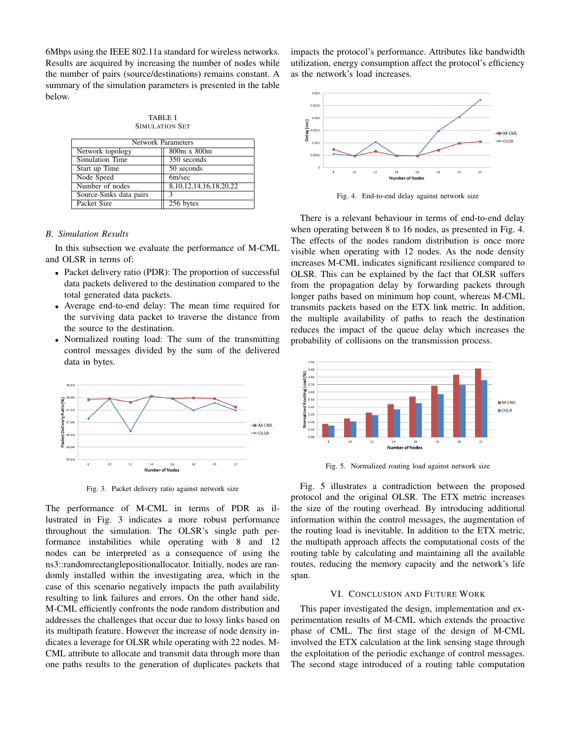6Mbps using the IEEE 802.11a standard for wireless networks. Results are acquired by increasing the number of nodes while the number of pairs (source/destinations) remains constant. A summary of the simulation parameters is presented in the table below.

| TABLE I        |  |
|----------------|--|
| SIMULATION SET |  |

| <b>Network Parameters</b> |                        |
|---------------------------|------------------------|
| Network topology          | 800m x 800m            |
| Simulation Time           | 350 seconds            |
| Start up Time             | 50 seconds             |
| Node Speed                | 6m/sec                 |
| Number of nodes           | 8,10,12,14,16,18,20,22 |
| Source-Sinks data pairs   | ٩                      |
| Packet Size               | 256 bytes              |

#### *B. Simulation Results*

In this subsection we evaluate the performance of M-CML and OLSR in terms of:

- Packet delivery ratio (PDR): The proportion of successful data packets delivered to the destination compared to the total generated data packets.
- Average end-to-end delay: The mean time required for the surviving data packet to traverse the distance from the source to the destination.
- Normalized routing load: The sum of the transmitting control messages divided by the sum of the delivered data in bytes.



Fig. 3. Packet delivery ratio against network size

The performance of M-CML in terms of PDR as illustrated in Fig. 3 indicates a more robust performance throughout the simulation. The OLSR's single path performance instabilities while operating with 8 and 12 nodes can be interpreted as a consequence of using the ns3::randomrectanglepositionallocator. Initially, nodes are randomly installed within the investigating area, which in the case of this scenario negatively impacts the path availability resulting to link failures and errors. On the other hand side, M-CML efficiently confronts the node random distribution and addresses the challenges that occur due to lossy links based on its multipath feature. However the increase of node density indicates a leverage for OLSR while operating with 22 nodes. M-CML attribute to allocate and transmit data through more than one paths results to the generation of duplicates packets that impacts the protocol's performance. Attributes like bandwidth utilization, energy consumption affect the protocol's efficiency as the network's load increases.



Fig. 4. End-to-end delay against network size

There is a relevant behaviour in terms of end-to-end delay when operating between 8 to 16 nodes, as presented in Fig. 4. The effects of the nodes random distribution is once more visible when operating with 12 nodes. As the node density increases M-CML indicates significant resilience compared to OLSR. This can be explained by the fact that OLSR suffers from the propagation delay by forwarding packets through longer paths based on minimum hop count, whereas M-CML transmits packets based on the ETX link metric. In addition, the multiple availability of paths to reach the destination reduces the impact of the queue delay which increases the probability of collisions on the transmission process.



Fig. 5. Normalized routing load against network size

Fig. 5 illustrates a contradiction between the proposed protocol and the original OLSR. The ETX metric increases the size of the routing overhead. By introducing additional information within the control messages, the augmentation of the routing load is inevitable. In addition to the ETX metric, the multipath approach affects the computational costs of the routing table by calculating and maintaining all the available routes, reducing the memory capacity and the network's life span.

## VI. CONCLUSION AND FUTURE WORK

This paper investigated the design, implementation and experimentation results of M-CML which extends the proactive phase of CML. The first stage of the design of M-CML involved the ETX calculation at the link sensing stage through the exploitation of the periodic exchange of control messages. The second stage introduced of a routing table computation